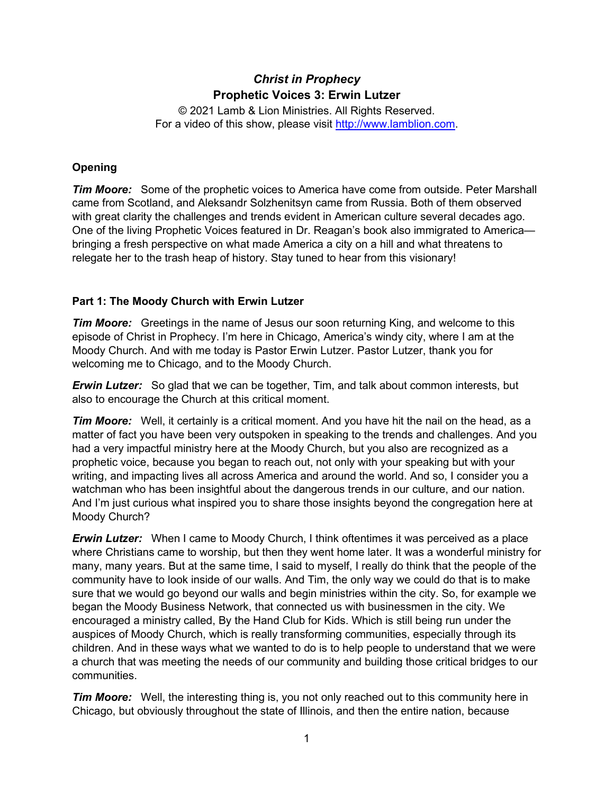# *Christ in Prophecy* **Prophetic Voices 3: Erwin Lutzer**

© 2021 Lamb & Lion Ministries. All Rights Reserved. For a video of this show, please visit [http://www.lamblion.com.](http://www.lamblion.com/)

## **Opening**

*Tim Moore:* Some of the prophetic voices to America have come from outside. Peter Marshall came from Scotland, and Aleksandr Solzhenitsyn came from Russia. Both of them observed with great clarity the challenges and trends evident in American culture several decades ago. One of the living Prophetic Voices featured in Dr. Reagan's book also immigrated to America bringing a fresh perspective on what made America a city on a hill and what threatens to relegate her to the trash heap of history. Stay tuned to hear from this visionary!

## **Part 1: The Moody Church with Erwin Lutzer**

*Tim Moore:* Greetings in the name of Jesus our soon returning King, and welcome to this episode of Christ in Prophecy. I'm here in Chicago, America's windy city, where I am at the Moody Church. And with me today is Pastor Erwin Lutzer. Pastor Lutzer, thank you for welcoming me to Chicago, and to the Moody Church.

*Erwin Lutzer:* So glad that we can be together, Tim, and talk about common interests, but also to encourage the Church at this critical moment.

*Tim Moore:* Well, it certainly is a critical moment. And you have hit the nail on the head, as a matter of fact you have been very outspoken in speaking to the trends and challenges. And you had a very impactful ministry here at the Moody Church, but you also are recognized as a prophetic voice, because you began to reach out, not only with your speaking but with your writing, and impacting lives all across America and around the world. And so, I consider you a watchman who has been insightful about the dangerous trends in our culture, and our nation. And I'm just curious what inspired you to share those insights beyond the congregation here at Moody Church?

*Erwin Lutzer:* When I came to Moody Church, I think oftentimes it was perceived as a place where Christians came to worship, but then they went home later. It was a wonderful ministry for many, many years. But at the same time, I said to myself, I really do think that the people of the community have to look inside of our walls. And Tim, the only way we could do that is to make sure that we would go beyond our walls and begin ministries within the city. So, for example we began the Moody Business Network, that connected us with businessmen in the city. We encouraged a ministry called, By the Hand Club for Kids. Which is still being run under the auspices of Moody Church, which is really transforming communities, especially through its children. And in these ways what we wanted to do is to help people to understand that we were a church that was meeting the needs of our community and building those critical bridges to our communities.

*Tim Moore:* Well, the interesting thing is, you not only reached out to this community here in Chicago, but obviously throughout the state of Illinois, and then the entire nation, because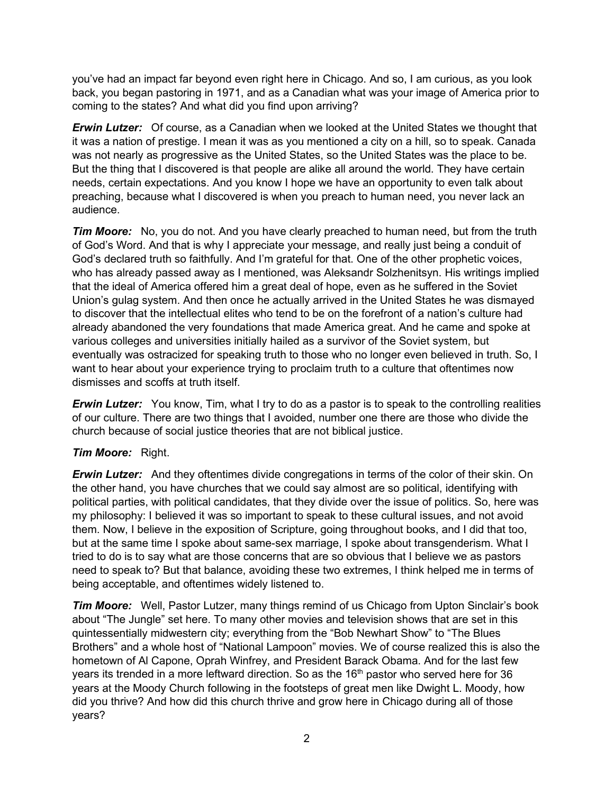you've had an impact far beyond even right here in Chicago. And so, I am curious, as you look back, you began pastoring in 1971, and as a Canadian what was your image of America prior to coming to the states? And what did you find upon arriving?

*Erwin Lutzer:* Of course, as a Canadian when we looked at the United States we thought that it was a nation of prestige. I mean it was as you mentioned a city on a hill, so to speak. Canada was not nearly as progressive as the United States, so the United States was the place to be. But the thing that I discovered is that people are alike all around the world. They have certain needs, certain expectations. And you know I hope we have an opportunity to even talk about preaching, because what I discovered is when you preach to human need, you never lack an audience.

*Tim Moore:* No, you do not. And you have clearly preached to human need, but from the truth of God's Word. And that is why I appreciate your message, and really just being a conduit of God's declared truth so faithfully. And I'm grateful for that. One of the other prophetic voices, who has already passed away as I mentioned, was Aleksandr Solzhenitsyn. His writings implied that the ideal of America offered him a great deal of hope, even as he suffered in the Soviet Union's gulag system. And then once he actually arrived in the United States he was dismayed to discover that the intellectual elites who tend to be on the forefront of a nation's culture had already abandoned the very foundations that made America great. And he came and spoke at various colleges and universities initially hailed as a survivor of the Soviet system, but eventually was ostracized for speaking truth to those who no longer even believed in truth. So, I want to hear about your experience trying to proclaim truth to a culture that oftentimes now dismisses and scoffs at truth itself.

*Erwin Lutzer:* You know, Tim, what I try to do as a pastor is to speak to the controlling realities of our culture. There are two things that I avoided, number one there are those who divide the church because of social justice theories that are not biblical justice.

## *Tim Moore:* Right.

*Erwin Lutzer:* And they oftentimes divide congregations in terms of the color of their skin. On the other hand, you have churches that we could say almost are so political, identifying with political parties, with political candidates, that they divide over the issue of politics. So, here was my philosophy: I believed it was so important to speak to these cultural issues, and not avoid them. Now, I believe in the exposition of Scripture, going throughout books, and I did that too, but at the same time I spoke about same-sex marriage, I spoke about transgenderism. What I tried to do is to say what are those concerns that are so obvious that I believe we as pastors need to speak to? But that balance, avoiding these two extremes, I think helped me in terms of being acceptable, and oftentimes widely listened to.

**Tim Moore:** Well, Pastor Lutzer, many things remind of us Chicago from Upton Sinclair's book about "The Jungle" set here. To many other movies and television shows that are set in this quintessentially midwestern city; everything from the "Bob Newhart Show" to "The Blues Brothers" and a whole host of "National Lampoon" movies. We of course realized this is also the hometown of Al Capone, Oprah Winfrey, and President Barack Obama. And for the last few years its trended in a more leftward direction. So as the  $16<sup>th</sup>$  pastor who served here for 36 years at the Moody Church following in the footsteps of great men like Dwight L. Moody, how did you thrive? And how did this church thrive and grow here in Chicago during all of those years?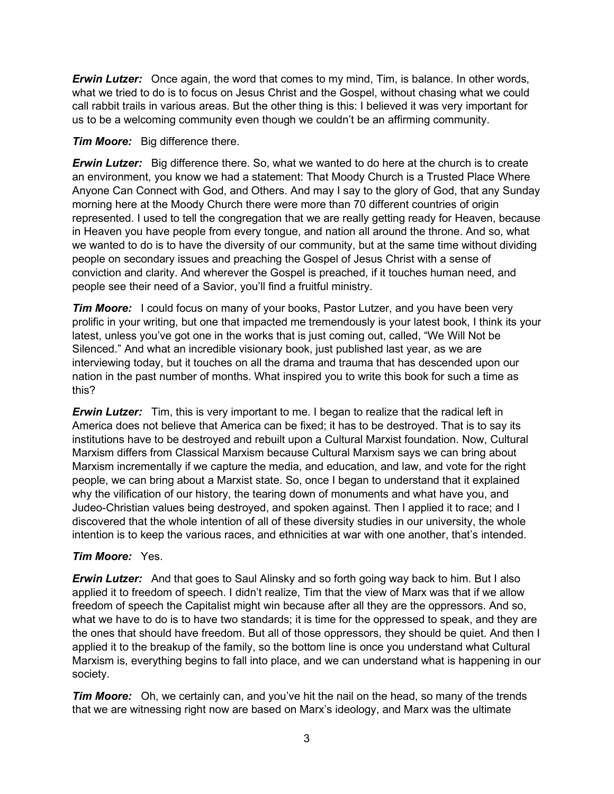*Erwin Lutzer:* Once again, the word that comes to my mind, Tim, is balance. In other words, what we tried to do is to focus on Jesus Christ and the Gospel, without chasing what we could call rabbit trails in various areas. But the other thing is this: I believed it was very important for us to be a welcoming community even though we couldn't be an affirming community.

*Tim Moore:* Big difference there.

*Erwin Lutzer:* Big difference there. So, what we wanted to do here at the church is to create an environment, you know we had a statement: That Moody Church is a Trusted Place Where Anyone Can Connect with God, and Others. And may I say to the glory of God, that any Sunday morning here at the Moody Church there were more than 70 different countries of origin represented. I used to tell the congregation that we are really getting ready for Heaven, because in Heaven you have people from every tongue, and nation all around the throne. And so, what we wanted to do is to have the diversity of our community, but at the same time without dividing people on secondary issues and preaching the Gospel of Jesus Christ with a sense of conviction and clarity. And wherever the Gospel is preached, if it touches human need, and people see their need of a Savior, you'll find a fruitful ministry.

**Tim Moore:** I could focus on many of your books, Pastor Lutzer, and you have been very prolific in your writing, but one that impacted me tremendously is your latest book, I think its your latest, unless you've got one in the works that is just coming out, called, "We Will Not be Silenced." And what an incredible visionary book, just published last year, as we are interviewing today, but it touches on all the drama and trauma that has descended upon our nation in the past number of months. What inspired you to write this book for such a time as this?

*Erwin Lutzer:* Tim, this is very important to me. I began to realize that the radical left in America does not believe that America can be fixed; it has to be destroyed. That is to say its institutions have to be destroyed and rebuilt upon a Cultural Marxist foundation. Now, Cultural Marxism differs from Classical Marxism because Cultural Marxism says we can bring about Marxism incrementally if we capture the media, and education, and law, and vote for the right people, we can bring about a Marxist state. So, once I began to understand that it explained why the vilification of our history, the tearing down of monuments and what have you, and Judeo-Christian values being destroyed, and spoken against. Then I applied it to race; and I discovered that the whole intention of all of these diversity studies in our university, the whole intention is to keep the various races, and ethnicities at war with one another, that's intended.

## *Tim Moore:* Yes.

**Erwin Lutzer:** And that goes to Saul Alinsky and so forth going way back to him. But I also applied it to freedom of speech. I didn't realize, Tim that the view of Marx was that if we allow freedom of speech the Capitalist might win because after all they are the oppressors. And so, what we have to do is to have two standards; it is time for the oppressed to speak, and they are the ones that should have freedom. But all of those oppressors, they should be quiet. And then I applied it to the breakup of the family, so the bottom line is once you understand what Cultural Marxism is, everything begins to fall into place, and we can understand what is happening in our society.

*Tim Moore:* Oh, we certainly can, and you've hit the nail on the head, so many of the trends that we are witnessing right now are based on Marx's ideology, and Marx was the ultimate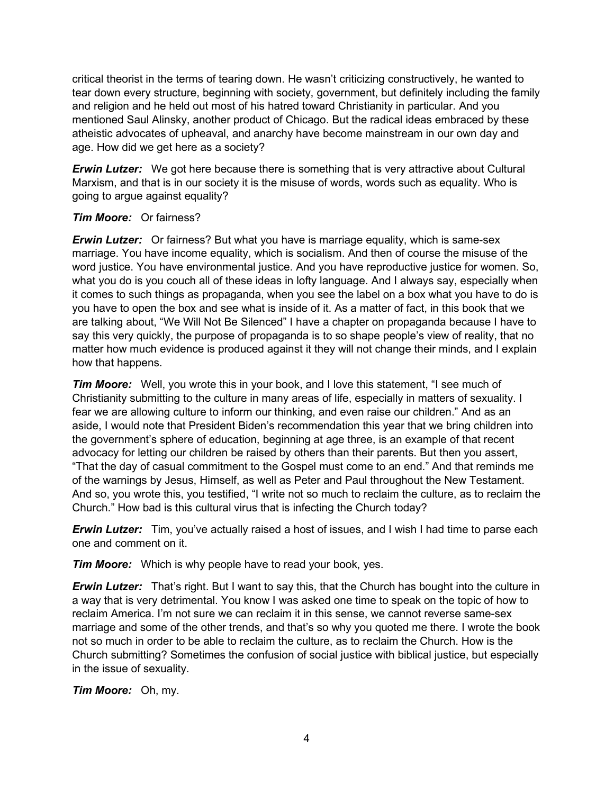critical theorist in the terms of tearing down. He wasn't criticizing constructively, he wanted to tear down every structure, beginning with society, government, but definitely including the family and religion and he held out most of his hatred toward Christianity in particular. And you mentioned Saul Alinsky, another product of Chicago. But the radical ideas embraced by these atheistic advocates of upheaval, and anarchy have become mainstream in our own day and age. How did we get here as a society?

*Erwin Lutzer:* We got here because there is something that is very attractive about Cultural Marxism, and that is in our society it is the misuse of words, words such as equality. Who is going to argue against equality?

#### *Tim Moore:* Or fairness?

*Erwin Lutzer:* Or fairness? But what you have is marriage equality, which is same-sex marriage. You have income equality, which is socialism. And then of course the misuse of the word justice. You have environmental justice. And you have reproductive justice for women. So, what you do is you couch all of these ideas in lofty language. And I always say, especially when it comes to such things as propaganda, when you see the label on a box what you have to do is you have to open the box and see what is inside of it. As a matter of fact, in this book that we are talking about, "We Will Not Be Silenced" I have a chapter on propaganda because I have to say this very quickly, the purpose of propaganda is to so shape people's view of reality, that no matter how much evidence is produced against it they will not change their minds, and I explain how that happens.

**Tim Moore:** Well, you wrote this in your book, and I love this statement, "I see much of Christianity submitting to the culture in many areas of life, especially in matters of sexuality. I fear we are allowing culture to inform our thinking, and even raise our children." And as an aside, I would note that President Biden's recommendation this year that we bring children into the government's sphere of education, beginning at age three, is an example of that recent advocacy for letting our children be raised by others than their parents. But then you assert, "That the day of casual commitment to the Gospel must come to an end." And that reminds me of the warnings by Jesus, Himself, as well as Peter and Paul throughout the New Testament. And so, you wrote this, you testified, "I write not so much to reclaim the culture, as to reclaim the Church." How bad is this cultural virus that is infecting the Church today?

**Erwin Lutzer:** Tim, you've actually raised a host of issues, and I wish I had time to parse each one and comment on it.

*Tim Moore:* Which is why people have to read your book, yes.

*Erwin Lutzer:* That's right. But I want to say this, that the Church has bought into the culture in a way that is very detrimental. You know I was asked one time to speak on the topic of how to reclaim America. I'm not sure we can reclaim it in this sense, we cannot reverse same-sex marriage and some of the other trends, and that's so why you quoted me there. I wrote the book not so much in order to be able to reclaim the culture, as to reclaim the Church. How is the Church submitting? Sometimes the confusion of social justice with biblical justice, but especially in the issue of sexuality.

*Tim Moore:* Oh, my.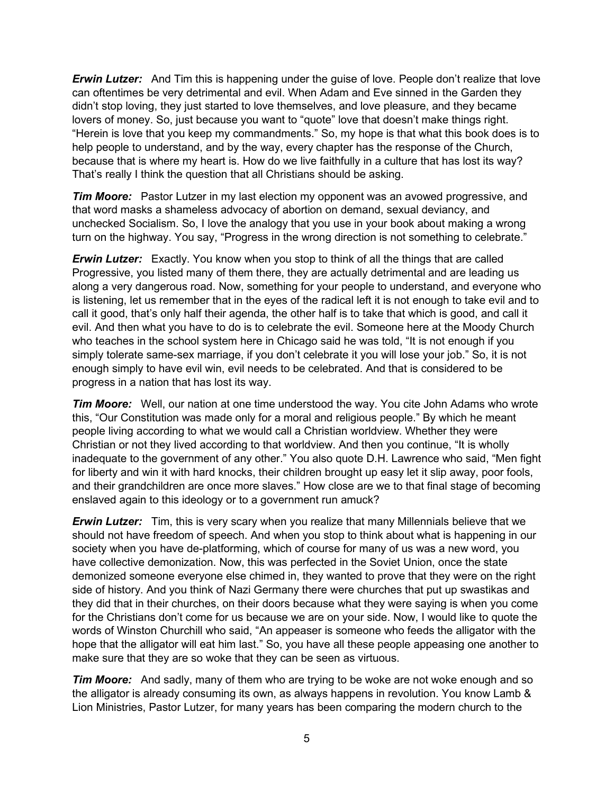*Erwin Lutzer:* And Tim this is happening under the guise of love. People don't realize that love can oftentimes be very detrimental and evil. When Adam and Eve sinned in the Garden they didn't stop loving, they just started to love themselves, and love pleasure, and they became lovers of money. So, just because you want to "quote" love that doesn't make things right. "Herein is love that you keep my commandments." So, my hope is that what this book does is to help people to understand, and by the way, every chapter has the response of the Church, because that is where my heart is. How do we live faithfully in a culture that has lost its way? That's really I think the question that all Christians should be asking.

**Tim Moore:** Pastor Lutzer in my last election my opponent was an avowed progressive, and that word masks a shameless advocacy of abortion on demand, sexual deviancy, and unchecked Socialism. So, I love the analogy that you use in your book about making a wrong turn on the highway. You say, "Progress in the wrong direction is not something to celebrate."

**Erwin Lutzer:** Exactly. You know when you stop to think of all the things that are called Progressive, you listed many of them there, they are actually detrimental and are leading us along a very dangerous road. Now, something for your people to understand, and everyone who is listening, let us remember that in the eyes of the radical left it is not enough to take evil and to call it good, that's only half their agenda, the other half is to take that which is good, and call it evil. And then what you have to do is to celebrate the evil. Someone here at the Moody Church who teaches in the school system here in Chicago said he was told, "It is not enough if you simply tolerate same-sex marriage, if you don't celebrate it you will lose your job." So, it is not enough simply to have evil win, evil needs to be celebrated. And that is considered to be progress in a nation that has lost its way.

*Tim Moore:* Well, our nation at one time understood the way. You cite John Adams who wrote this, "Our Constitution was made only for a moral and religious people." By which he meant people living according to what we would call a Christian worldview. Whether they were Christian or not they lived according to that worldview. And then you continue, "It is wholly inadequate to the government of any other." You also quote D.H. Lawrence who said, "Men fight for liberty and win it with hard knocks, their children brought up easy let it slip away, poor fools, and their grandchildren are once more slaves." How close are we to that final stage of becoming enslaved again to this ideology or to a government run amuck?

*Erwin Lutzer:* Tim, this is very scary when you realize that many Millennials believe that we should not have freedom of speech. And when you stop to think about what is happening in our society when you have de-platforming, which of course for many of us was a new word, you have collective demonization. Now, this was perfected in the Soviet Union, once the state demonized someone everyone else chimed in, they wanted to prove that they were on the right side of history. And you think of Nazi Germany there were churches that put up swastikas and they did that in their churches, on their doors because what they were saying is when you come for the Christians don't come for us because we are on your side. Now, I would like to quote the words of Winston Churchill who said, "An appeaser is someone who feeds the alligator with the hope that the alligator will eat him last." So, you have all these people appeasing one another to make sure that they are so woke that they can be seen as virtuous.

*Tim Moore:* And sadly, many of them who are trying to be woke are not woke enough and so the alligator is already consuming its own, as always happens in revolution. You know Lamb & Lion Ministries, Pastor Lutzer, for many years has been comparing the modern church to the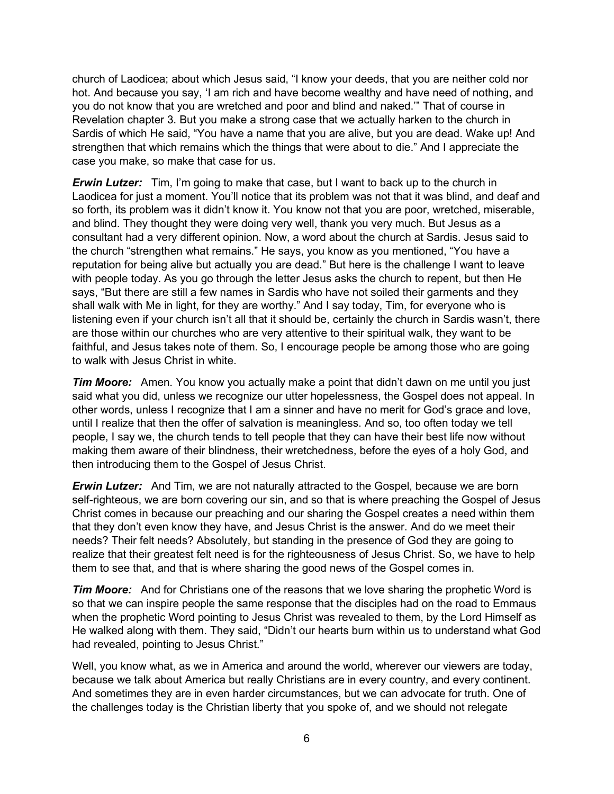church of Laodicea; about which Jesus said, "I know your deeds, that you are neither cold nor hot. And because you say, 'I am rich and have become wealthy and have need of nothing, and you do not know that you are wretched and poor and blind and naked.'" That of course in Revelation chapter 3. But you make a strong case that we actually harken to the church in Sardis of which He said, "You have a name that you are alive, but you are dead. Wake up! And strengthen that which remains which the things that were about to die." And I appreciate the case you make, so make that case for us.

*Erwin Lutzer:* Tim, I'm going to make that case, but I want to back up to the church in Laodicea for just a moment. You'll notice that its problem was not that it was blind, and deaf and so forth, its problem was it didn't know it. You know not that you are poor, wretched, miserable, and blind. They thought they were doing very well, thank you very much. But Jesus as a consultant had a very different opinion. Now, a word about the church at Sardis. Jesus said to the church "strengthen what remains." He says, you know as you mentioned, "You have a reputation for being alive but actually you are dead." But here is the challenge I want to leave with people today. As you go through the letter Jesus asks the church to repent, but then He says, "But there are still a few names in Sardis who have not soiled their garments and they shall walk with Me in light, for they are worthy." And I say today, Tim, for everyone who is listening even if your church isn't all that it should be, certainly the church in Sardis wasn't, there are those within our churches who are very attentive to their spiritual walk, they want to be faithful, and Jesus takes note of them. So, I encourage people be among those who are going to walk with Jesus Christ in white.

*Tim Moore:* Amen. You know you actually make a point that didn't dawn on me until you just said what you did, unless we recognize our utter hopelessness, the Gospel does not appeal. In other words, unless I recognize that I am a sinner and have no merit for God's grace and love, until I realize that then the offer of salvation is meaningless. And so, too often today we tell people, I say we, the church tends to tell people that they can have their best life now without making them aware of their blindness, their wretchedness, before the eyes of a holy God, and then introducing them to the Gospel of Jesus Christ.

*Erwin Lutzer:* And Tim, we are not naturally attracted to the Gospel, because we are born self-righteous, we are born covering our sin, and so that is where preaching the Gospel of Jesus Christ comes in because our preaching and our sharing the Gospel creates a need within them that they don't even know they have, and Jesus Christ is the answer. And do we meet their needs? Their felt needs? Absolutely, but standing in the presence of God they are going to realize that their greatest felt need is for the righteousness of Jesus Christ. So, we have to help them to see that, and that is where sharing the good news of the Gospel comes in.

*Tim Moore:* And for Christians one of the reasons that we love sharing the prophetic Word is so that we can inspire people the same response that the disciples had on the road to Emmaus when the prophetic Word pointing to Jesus Christ was revealed to them, by the Lord Himself as He walked along with them. They said, "Didn't our hearts burn within us to understand what God had revealed, pointing to Jesus Christ."

Well, you know what, as we in America and around the world, wherever our viewers are today, because we talk about America but really Christians are in every country, and every continent. And sometimes they are in even harder circumstances, but we can advocate for truth. One of the challenges today is the Christian liberty that you spoke of, and we should not relegate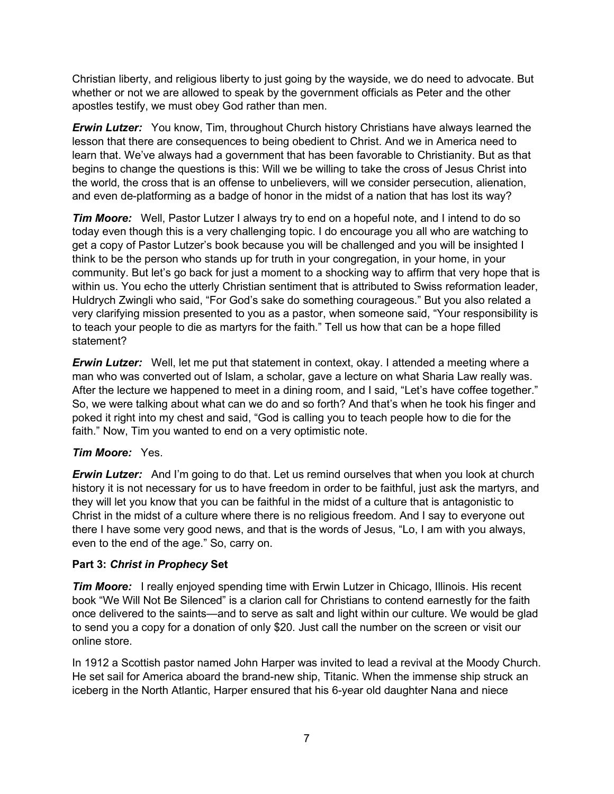Christian liberty, and religious liberty to just going by the wayside, we do need to advocate. But whether or not we are allowed to speak by the government officials as Peter and the other apostles testify, we must obey God rather than men.

*Erwin Lutzer:* You know, Tim, throughout Church history Christians have always learned the lesson that there are consequences to being obedient to Christ. And we in America need to learn that. We've always had a government that has been favorable to Christianity. But as that begins to change the questions is this: Will we be willing to take the cross of Jesus Christ into the world, the cross that is an offense to unbelievers, will we consider persecution, alienation, and even de-platforming as a badge of honor in the midst of a nation that has lost its way?

*Tim Moore:* Well, Pastor Lutzer I always try to end on a hopeful note, and I intend to do so today even though this is a very challenging topic. I do encourage you all who are watching to get a copy of Pastor Lutzer's book because you will be challenged and you will be insighted I think to be the person who stands up for truth in your congregation, in your home, in your community. But let's go back for just a moment to a shocking way to affirm that very hope that is within us. You echo the utterly Christian sentiment that is attributed to Swiss reformation leader, Huldrych Zwingli who said, "For God's sake do something courageous." But you also related a very clarifying mission presented to you as a pastor, when someone said, "Your responsibility is to teach your people to die as martyrs for the faith." Tell us how that can be a hope filled statement?

**Erwin Lutzer:** Well, let me put that statement in context, okay. I attended a meeting where a man who was converted out of Islam, a scholar, gave a lecture on what Sharia Law really was. After the lecture we happened to meet in a dining room, and I said, "Let's have coffee together." So, we were talking about what can we do and so forth? And that's when he took his finger and poked it right into my chest and said, "God is calling you to teach people how to die for the faith." Now, Tim you wanted to end on a very optimistic note.

## *Tim Moore:* Yes.

**Erwin Lutzer:** And I'm going to do that. Let us remind ourselves that when you look at church history it is not necessary for us to have freedom in order to be faithful, just ask the martyrs, and they will let you know that you can be faithful in the midst of a culture that is antagonistic to Christ in the midst of a culture where there is no religious freedom. And I say to everyone out there I have some very good news, and that is the words of Jesus, "Lo, I am with you always, even to the end of the age." So, carry on.

#### **Part 3:** *Christ in Prophecy* **Set**

*Tim Moore:* I really enjoyed spending time with Erwin Lutzer in Chicago, Illinois. His recent book "We Will Not Be Silenced" is a clarion call for Christians to contend earnestly for the faith once delivered to the saints—and to serve as salt and light within our culture. We would be glad to send you a copy for a donation of only \$20. Just call the number on the screen or visit our online store.

In 1912 a Scottish pastor named John Harper was invited to lead a revival at the Moody Church. He set sail for America aboard the brand-new ship, Titanic. When the immense ship struck an iceberg in the North Atlantic, Harper ensured that his 6-year old daughter Nana and niece